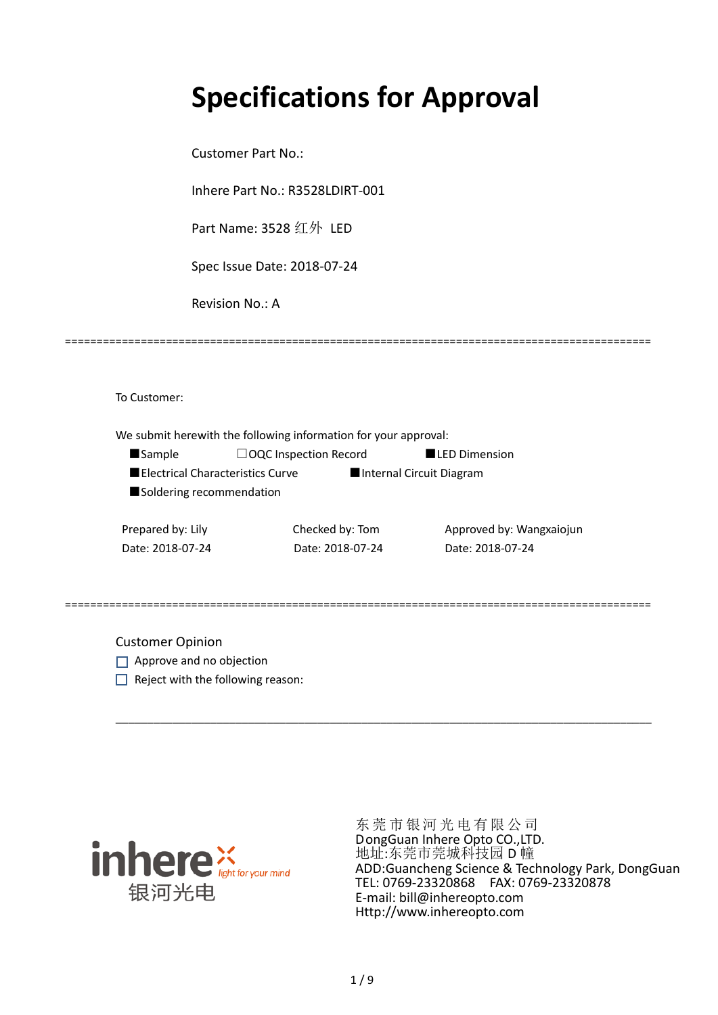# **Specifications for Approval**

=============================================================================================

Customer Part No.:

Inhere Part No.: R3528LDIRT-001

Part Name: 3528 红外 LED

Spec Issue Date: 2018-07-24

Revision No.: A

To Customer:

We submit herewith the following information for your approval:

■Sample □OQC Inspection Record ■LED Dimension

■Electrical Characteristics Curve ■Internal Circuit Diagram

■ Soldering recommendation

Date: 2018-07-24 Date: 2018-07-24 Date: 2018-07-24

Prepared by: Lily Checked by: Tom Approved by: Wangxaiojun

=============================================================================================

\_\_\_\_\_\_\_\_\_\_\_\_\_\_\_\_\_\_\_\_\_\_\_\_\_\_\_\_\_\_\_\_\_\_\_\_\_\_\_\_\_\_\_\_\_\_\_\_\_\_\_\_\_\_\_\_\_\_\_\_\_\_\_\_\_\_\_\_\_\_\_\_\_\_\_\_\_\_\_\_\_\_\_\_\_

Customer Opinion

- $\Box$  Approve and no objection
- $\Box$  Reject with the following reason:



东莞市银河光电有限公司 DongGuan Inhere Opto CO.,LTD. 地址:东莞市莞城科技园 D 幢 ADD:Guancheng Science & Technology Park, DongGuan TEL: 0769-23320868 FAX: 0769-23320878 E-mail: bill@inhereopto.com Http://www.inhereopto.com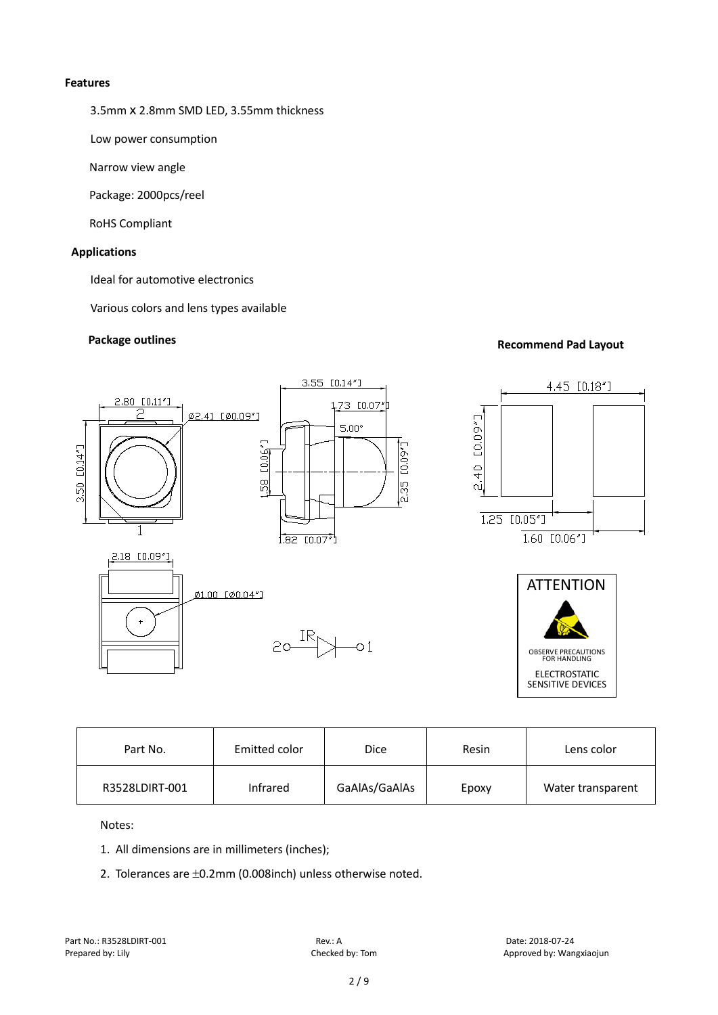#### **Features**

3.5mm x 2.8mm SMD LED, 3.55mm thickness

Low power consumption

Narrow view angle

Package: 2000pcs/reel

RoHS Compliant

#### **Applications**

Ideal for automotive electronics

Various colors and lens types available

## **Package outlines Recommend Pad Layout**



| Part No.       | Emitted color | <b>Dice</b>   | Resin | Lens color        |
|----------------|---------------|---------------|-------|-------------------|
| R3528LDIRT-001 | Infrared      | GaAlAs/GaAlAs | Epoxy | Water transparent |

Notes:

- 1. All dimensions are in millimeters (inches);
- 2. Tolerances are ±0.2mm (0.008inch) unless otherwise noted.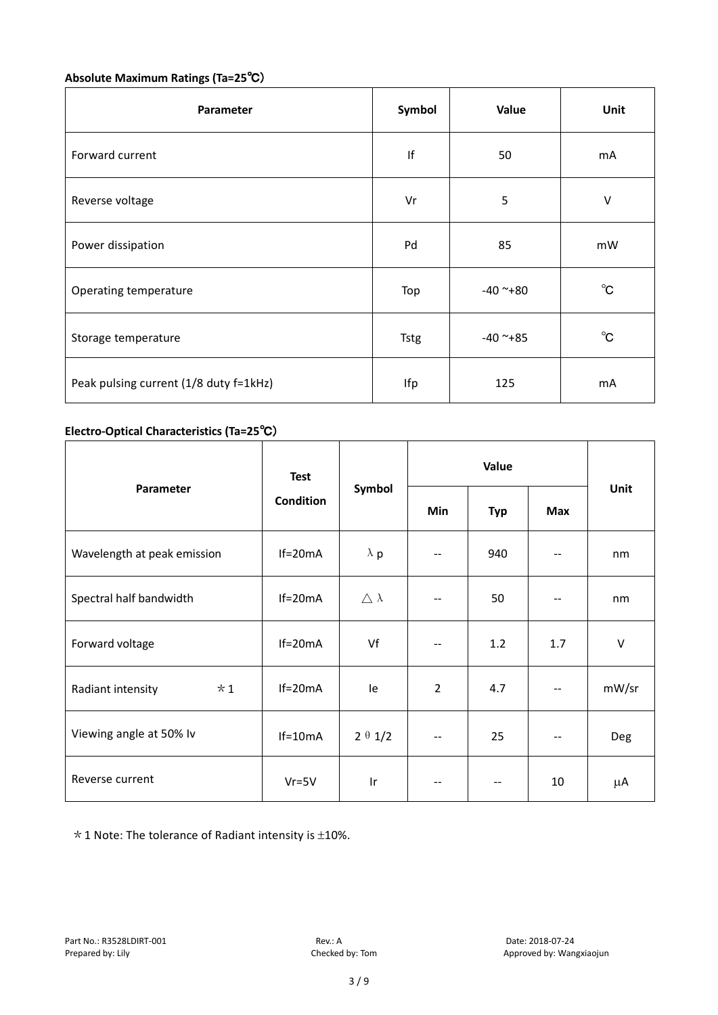# **Absolute Maximum Ratings (Ta=25**℃)

| Parameter                              | Symbol      | Value      | Unit           |
|----------------------------------------|-------------|------------|----------------|
| Forward current                        | If          | 50         | mA             |
| Reverse voltage                        | Vr          | 5          | $\vee$         |
| Power dissipation                      | Pd          | 85         | mW             |
| Operating temperature                  | Top         | $-40$ ~+80 | $^{\circ}$ C   |
| Storage temperature                    | <b>Tstg</b> | $-40$ ~+85 | $^{\circ}$ C   |
| Peak pulsing current (1/8 duty f=1kHz) | Ifp         | 125        | m <sub>A</sub> |

### **Electro-Optical Characteristics (Ta=25**℃)

|                             | <b>Test</b><br><b>Condition</b> | Symbol              | Value                    |            |     |        |
|-----------------------------|---------------------------------|---------------------|--------------------------|------------|-----|--------|
| Parameter                   |                                 |                     | Min                      | <b>Typ</b> | Max | Unit   |
| Wavelength at peak emission | $If=20mA$                       | $\lambda$ p         | $\overline{\phantom{m}}$ | 940        | --  | nm     |
| Spectral half bandwidth     | $If=20mA$                       | $\triangle \lambda$ | $\overline{\phantom{a}}$ | 50         |     | nm     |
| Forward voltage             | $If=20mA$                       | Vf                  | $-$                      | 1.2        | 1.7 | $\vee$ |
| $*1$<br>Radiant intensity   | $If=20mA$                       | le                  | $\overline{2}$           | 4.7        | --  | mW/sr  |
| Viewing angle at 50% lv     | $If=10mA$                       | $2 \theta 1/2$      | $-\, -$                  | 25         | --  | Deg    |
| Reverse current             | $Vr = 5V$                       | Ir                  | $\overline{\phantom{m}}$ | $-$        | 10  | μA     |

 $*$  1 Note: The tolerance of Radiant intensity is  $\pm$ 10%.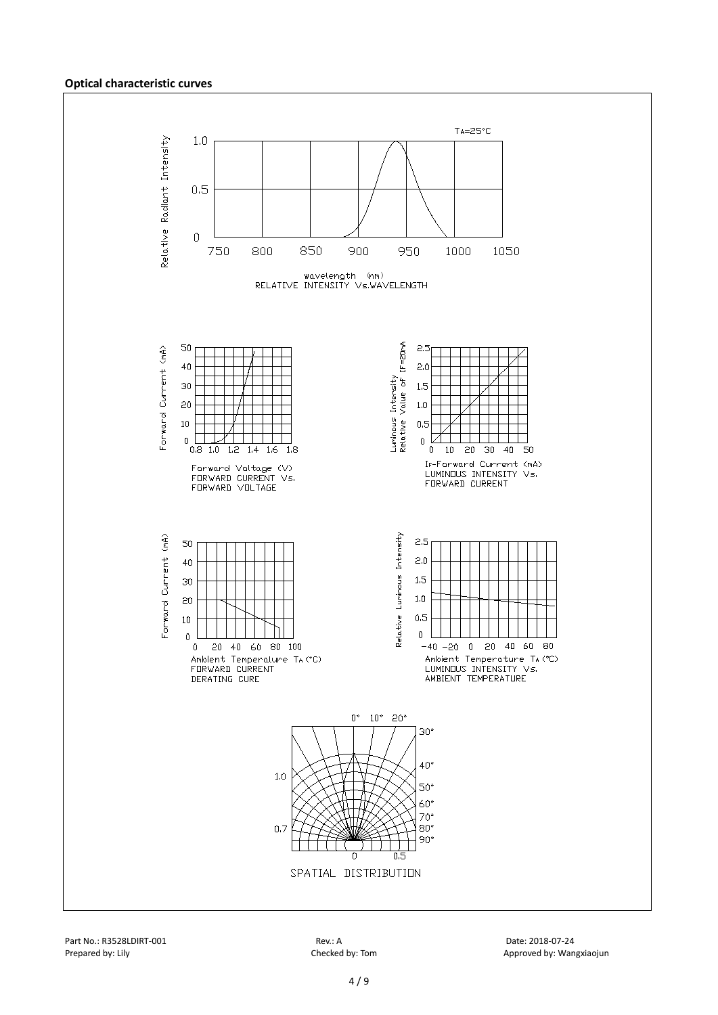#### **Optical characteristic curves**

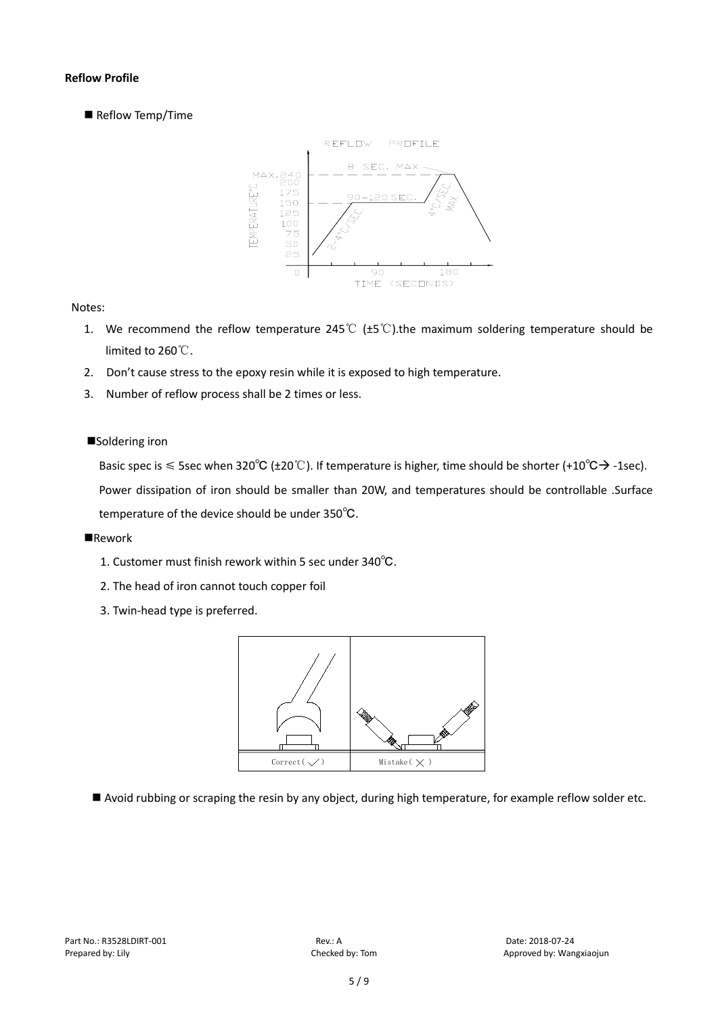#### **Reflow Profile**

Reflow Temp/Time



Notes:

- 1. We recommend the reflow temperature 245°C ( $\pm$ 5°C).the maximum soldering temperature should be limited to 260℃.
- 2. Don't cause stress to the epoxy resin while it is exposed to high temperature.
- 3. Number of reflow process shall be 2 times or less.
- ■Soldering iron

Basic spec is  $\leq$  5sec when 320°C (±20°C). If temperature is higher, time should be shorter (+10°C $\rightarrow$ -1sec). Power dissipation of iron should be smaller than 20W, and temperatures should be controllable .Surface

temperature of the device should be under 350℃.

#### **Rework**

- 1. Customer must finish rework within 5 sec under 340℃.
- 2. The head of iron cannot touch copper foil
- 3. Twin-head type is preferred.



Avoid rubbing or scraping the resin by any object, during high temperature, for example reflow solder etc.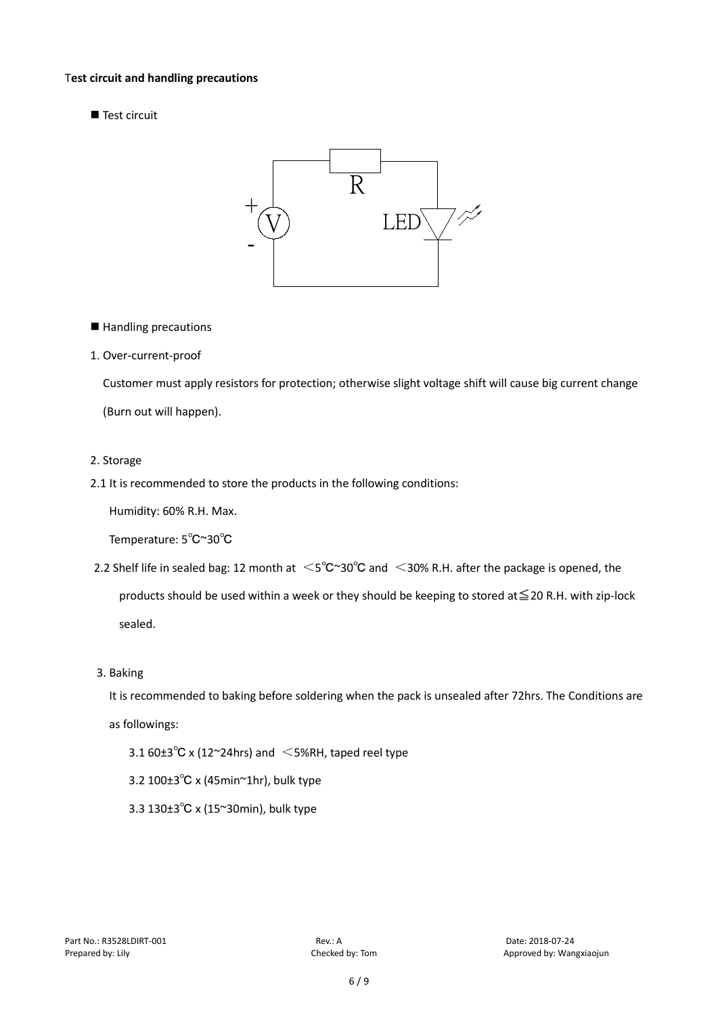#### T**est circuit and handling precautions**

Test circuit



■ Handling precautions

#### 1. Over-current-proof

Customer must apply resistors for protection; otherwise slight voltage shift will cause big current change (Burn out will happen).

#### 2. Storage

2.1 It is recommended to store the products in the following conditions:

Humidity: 60% R.H. Max.

Temperature: 5℃~30℃

- 2.2 Shelf life in sealed bag: 12 month at  $\leq$ 5°C~30°C and  $\leq$ 30% R.H. after the package is opened, the products should be used within a week or they should be keeping to stored at≦20 R.H. with zip-lock sealed.
- 3. Baking

It is recommended to baking before soldering when the pack is unsealed after 72hrs. The Conditions are as followings:

- 3.1  $60±3^{\circ}C$  x (12~24hrs) and  $\leq$  5%RH, taped reel type
- 3.2 100±3℃ x (45min~1hr), bulk type
- 3.3 130±3℃ x (15~30min), bulk type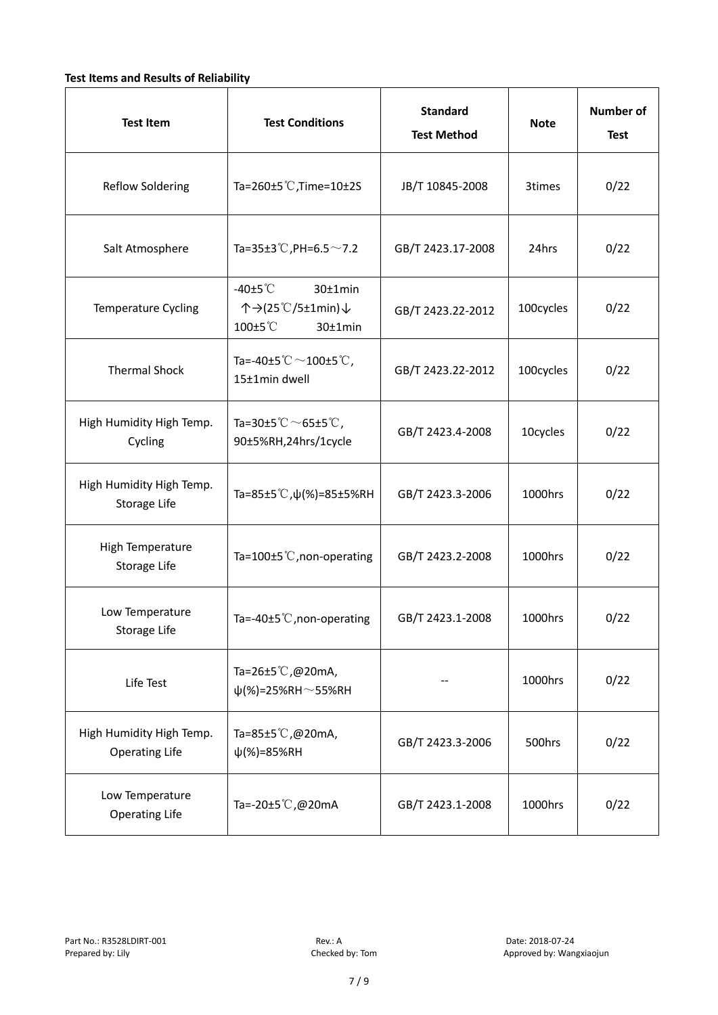#### **Test Items and Results of Reliability**

| <b>Test Item</b>                                  | <b>Test Conditions</b>                                                         | <b>Standard</b><br><b>Test Method</b> |           | <b>Number of</b><br><b>Test</b> |
|---------------------------------------------------|--------------------------------------------------------------------------------|---------------------------------------|-----------|---------------------------------|
| <b>Reflow Soldering</b>                           | Ta=260 $\pm$ 5 °C, Time=10 $\pm$ 2S                                            | JB/T 10845-2008                       | 3times    | 0/22                            |
| Salt Atmosphere                                   | Ta=35±3°C, PH=6.5 $\sim$ 7.2                                                   | GB/T 2423.17-2008                     | 24hrs     | 0/22                            |
| Temperature Cycling                               | -40 $±5^{\circ}$ C<br>$30±1$ min<br>个→(25℃/5±1min)↓<br>100±5°C<br>$30±1$ min   | GB/T 2423.22-2012                     | 100cycles | 0/22                            |
| <b>Thermal Shock</b>                              | Ta=-40±5 $\degree \text{C}$ $\sim$ 100±5 $\degree \text{C}$ ,<br>15±1min dwell | GB/T 2423.22-2012                     | 100cycles | 0/22                            |
| High Humidity High Temp.<br>Cycling               | Ta=30±5 °C $\sim$ 65±5 °C,<br>90±5%RH,24hrs/1cycle                             | GB/T 2423.4-2008                      | 10cycles  | 0/22                            |
| High Humidity High Temp.<br>Storage Life          | Ta=85±5 <sup>°</sup> C, $\psi$ (%)=85±5%RH                                     | GB/T 2423.3-2006                      | 1000hrs   | 0/22                            |
| High Temperature<br>Storage Life                  | Ta=100 $\pm$ 5 <sup>°</sup> C, non-operating                                   | GB/T 2423.2-2008                      | 1000hrs   | 0/22                            |
| Low Temperature<br>Storage Life                   | Ta=-40±5 $°C$ , non-operating                                                  | GB/T 2423.1-2008                      | 1000hrs   | 0/22                            |
| Life Test                                         | Ta=26±5℃,@20mA,<br>$\psi$ (%)=25%RH~55%RH                                      |                                       | 1000hrs   | 0/22                            |
| High Humidity High Temp.<br><b>Operating Life</b> | Ta=85±5 $\degree$ C, @20mA,<br>$\psi$ (%)=85%RH                                | GB/T 2423.3-2006                      | 500hrs    | 0/22                            |
| Low Temperature<br><b>Operating Life</b>          | Ta=-20±5℃,@20mA                                                                | GB/T 2423.1-2008                      | 1000hrs   | 0/22                            |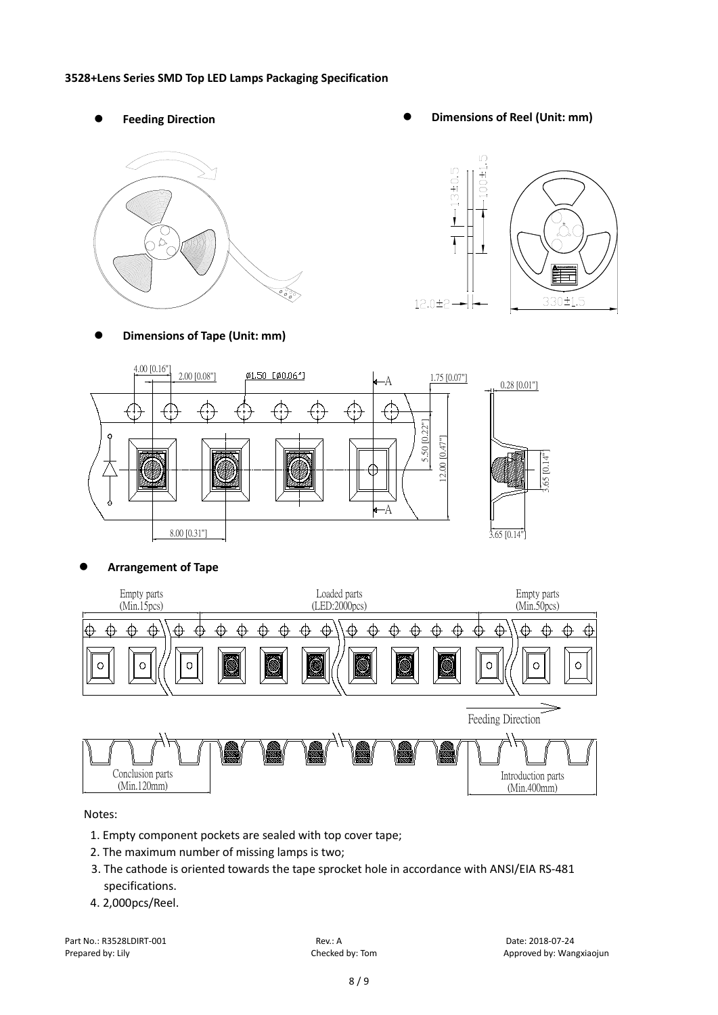#### **3528+Lens Series SMD Top LED Lamps Packaging Specification**

- 
- Feeding Direction **by the Contract Contract Contract Contract Contract Contract Contract Contract Contract Contract Contract Contract Contract Contract Contract Contract Contract Contract Contract Contract Contract Cont**



**Dimensions of Tape (Unit: mm)**





#### **Arrangement of Tape**



#### Notes:

- 1. Empty component pockets are sealed with top cover tape;
- 2. The maximum number of missing lamps is two;
- 3. The cathode is oriented towards the tape sprocket hole in accordance with ANSI/EIA RS-481 specifications.
- 4. 2,000pcs/Reel.

Part No.: R3528LDIRT-001 **Rev.: A** Rev.: A Rev.: A Date: 2018-07-24 **Date: 2018-07-24**<br>Prepared by: Lily **Prepared by: Lily** Checked by: Tom **Checked by: Tom** Approved by: Wan